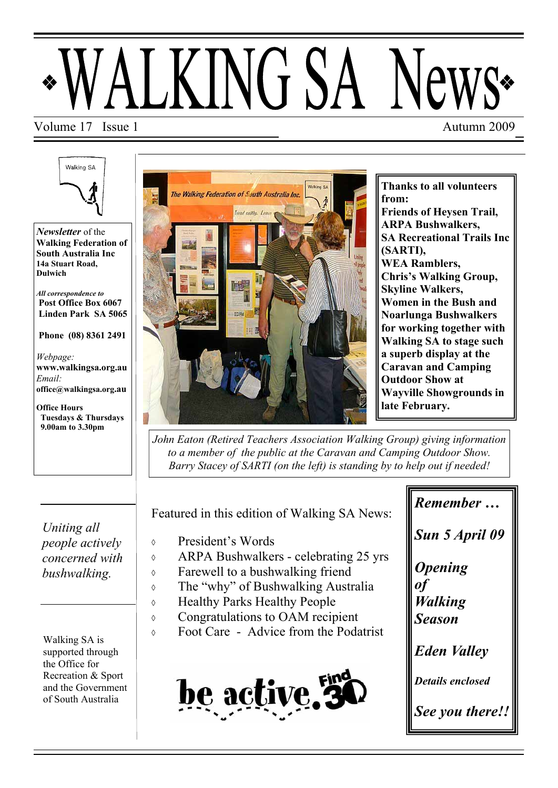# LKING SA N

#### Volume 17 Issue 1 Autumn 2009

Walking SA

*Newsletter* of the **Walking Federation of South Australia Inc 14a Stuart Road, Dulwich** 

*All correspondence to*   **Post Office Box 6067 Linden Park SA 5065** 

 **Phone (08) 8361 2491** 

*Webpage:*  **www.walkingsa.org.au**  *Email:*  **office@walkingsa.org.au** 

**Office Hours Tuesdays & Thursdays 9.00am to 3.30pm** 

*Uniting all people actively concerned with bushwalking.* 

Walking SA is supported through the Office for Recreation & Sport and the Government of South Australia



**Thanks to all volunteers from: Friends of Heysen Trail, ARPA Bushwalkers, SA Recreational Trails Inc (SARTI), WEA Ramblers, Chris's Walking Group, Skyline Walkers, Women in the Bush and Noarlunga Bushwalkers for working together with Walking SA to stage such a superb display at the Caravan and Camping Outdoor Show at Wayville Showgrounds in late February.** 

*John Eaton (Retired Teachers Association Walking Group) giving information to a member of the public at the Caravan and Camping Outdoor Show. Barry Stacey of SARTI (on the left) is standing by to help out if needed!* 

Featured in this edition of Walking SA News:

- President's Words
- ARPA Bushwalkers celebrating 25 yrs
- Farewell to a bushwalking friend
- The "why" of Bushwalking Australia
- Healthy Parks Healthy People
- Congratulations to OAM recipient
- Foot Care Advice from the Podatrist



*Remember … Sun 5 April 09 Opening of Walking Season Eden Valley Details enclosed See you there!!*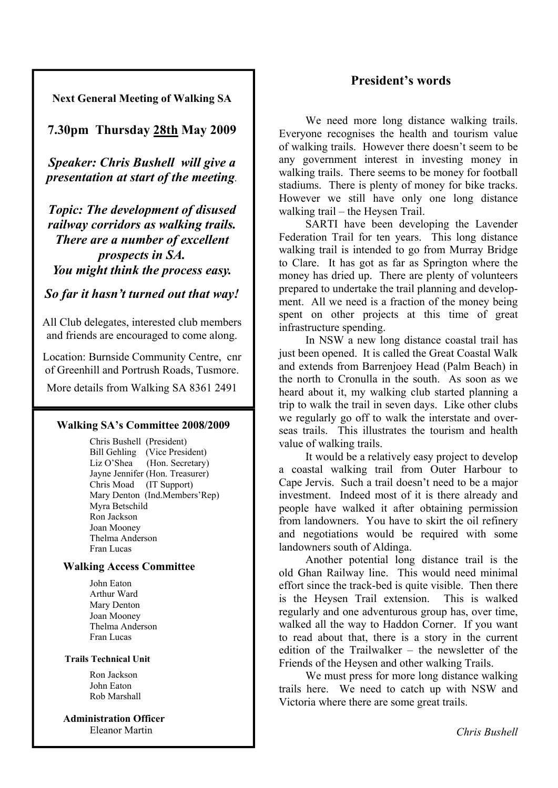#### **President's words**

**Next General Meeting of Walking SA** 

**7.30pm Thursday 28th May 2009** 

*Speaker: Chris Bushell will give a presentation at start of the meeting.* 

*Topic: The development of disused railway corridors as walking trails. There are a number of excellent prospects in SA. You might think the process easy.* 

#### *So far it hasn't turned out that way!*

All Club delegates, interested club members and friends are encouraged to come along.

Location: Burnside Community Centre, cnr of Greenhill and Portrush Roads, Tusmore.

More details from Walking SA 8361 2491

#### **Walking SA's Committee 2008/2009**

 Chris Bushell (President) Bill Gehling (Vice President) Liz O'Shea (Hon. Secretary) Jayne Jennifer (Hon. Treasurer) Chris Moad (IT Support) Mary Denton (Ind.Members'Rep) Myra Betschild Ron Jackson Joan Mooney Thelma Anderson Fran Lucas

#### **Walking Access Committee**

 John Eaton Arthur Ward Mary Denton Joan Mooney Thelma Anderson Fran Lucas

#### **Trails Technical Unit**

 Ron Jackson John Eaton Rob Marshall

 **Administration Officer**  Eleanor Martin

We need more long distance walking trails. Everyone recognises the health and tourism value of walking trails. However there doesn't seem to be any government interest in investing money in walking trails. There seems to be money for football stadiums. There is plenty of money for bike tracks. However we still have only one long distance walking trail – the Heysen Trail.

 SARTI have been developing the Lavender Federation Trail for ten years. This long distance walking trail is intended to go from Murray Bridge to Clare. It has got as far as Springton where the money has dried up. There are plenty of volunteers prepared to undertake the trail planning and development. All we need is a fraction of the money being spent on other projects at this time of great infrastructure spending.

 In NSW a new long distance coastal trail has just been opened. It is called the Great Coastal Walk and extends from Barrenjoey Head (Palm Beach) in the north to Cronulla in the south. As soon as we heard about it, my walking club started planning a trip to walk the trail in seven days. Like other clubs we regularly go off to walk the interstate and overseas trails. This illustrates the tourism and health value of walking trails.

 It would be a relatively easy project to develop a coastal walking trail from Outer Harbour to Cape Jervis. Such a trail doesn't need to be a major investment. Indeed most of it is there already and people have walked it after obtaining permission from landowners. You have to skirt the oil refinery and negotiations would be required with some landowners south of Aldinga.

 Another potential long distance trail is the old Ghan Railway line. This would need minimal effort since the track-bed is quite visible. Then there is the Heysen Trail extension. This is walked regularly and one adventurous group has, over time, walked all the way to Haddon Corner. If you want to read about that, there is a story in the current edition of the Trailwalker – the newsletter of the Friends of the Heysen and other walking Trails.

 We must press for more long distance walking trails here. We need to catch up with NSW and Victoria where there are some great trails.

*Chris Bushell*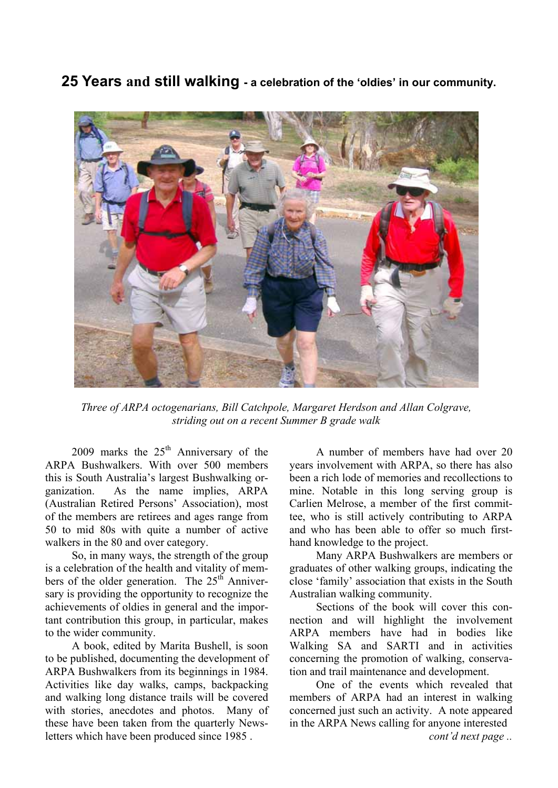**25 Years and still walking - a celebration of the 'oldies' in our community.** 



*Three of ARPA octogenarians, Bill Catchpole, Margaret Herdson and Allan Colgrave, striding out on a recent Summer B grade walk* 

2009 marks the  $25<sup>th</sup>$  Anniversary of the ARPA Bushwalkers. With over 500 members this is South Australia's largest Bushwalking organization. As the name implies, ARPA (Australian Retired Persons' Association), most of the members are retirees and ages range from 50 to mid 80s with quite a number of active walkers in the 80 and over category.

 So, in many ways, the strength of the group is a celebration of the health and vitality of members of the older generation. The  $25<sup>th</sup>$  Anniversary is providing the opportunity to recognize the achievements of oldies in general and the important contribution this group, in particular, makes to the wider community.

 A book, edited by Marita Bushell, is soon to be published, documenting the development of ARPA Bushwalkers from its beginnings in 1984. Activities like day walks, camps, backpacking and walking long distance trails will be covered with stories, anecdotes and photos. Many of these have been taken from the quarterly Newsletters which have been produced since 1985 .

 A number of members have had over 20 years involvement with ARPA, so there has also been a rich lode of memories and recollections to mine. Notable in this long serving group is Carlien Melrose, a member of the first committee, who is still actively contributing to ARPA and who has been able to offer so much firsthand knowledge to the project.

 Many ARPA Bushwalkers are members or graduates of other walking groups, indicating the close 'family' association that exists in the South Australian walking community.

 Sections of the book will cover this connection and will highlight the involvement ARPA members have had in bodies like Walking SA and SARTI and in activities concerning the promotion of walking, conservation and trail maintenance and development.

 One of the events which revealed that members of ARPA had an interest in walking concerned just such an activity. A note appeared in the ARPA News calling for anyone interested *cont'd next page ..*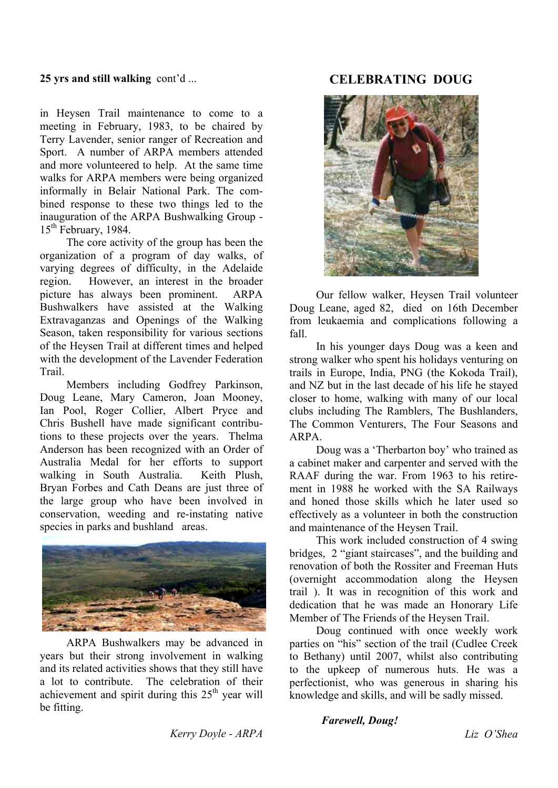#### **25 yrs and still walking** cont'd ...

in Heysen Trail maintenance to come to a meeting in February, 1983, to be chaired by Terry Lavender, senior ranger of Recreation and Sport. A number of ARPA members attended and more volunteered to help. At the same time walks for ARPA members were being organized informally in Belair National Park. The combined response to these two things led to the inauguration of the ARPA Bushwalking Group -  $15<sup>th</sup>$  February, 1984.

 The core activity of the group has been the organization of a program of day walks, of varying degrees of difficulty, in the Adelaide region. However, an interest in the broader picture has always been prominent. ARPA Bushwalkers have assisted at the Walking Extravaganzas and Openings of the Walking Season, taken responsibility for various sections of the Heysen Trail at different times and helped with the development of the Lavender Federation Trail.

 Members including Godfrey Parkinson, Doug Leane, Mary Cameron, Joan Mooney, Ian Pool, Roger Collier, Albert Pryce and Chris Bushell have made significant contributions to these projects over the years. Thelma Anderson has been recognized with an Order of Australia Medal for her efforts to support walking in South Australia. Keith Plush, Bryan Forbes and Cath Deans are just three of the large group who have been involved in conservation, weeding and re-instating native species in parks and bushland areas.



 ARPA Bushwalkers may be advanced in years but their strong involvement in walking and its related activities shows that they still have a lot to contribute. The celebration of their achievement and spirit during this  $25<sup>th</sup>$  year will be fitting.

#### **CELEBRATING DOUG**



 Our fellow walker, Heysen Trail volunteer Doug Leane, aged 82, died on 16th December from leukaemia and complications following a fall.

 In his younger days Doug was a keen and strong walker who spent his holidays venturing on trails in Europe, India, PNG (the Kokoda Trail), and NZ but in the last decade of his life he stayed closer to home, walking with many of our local clubs including The Ramblers, The Bushlanders, The Common Venturers, The Four Seasons and ARPA.

 Doug was a 'Therbarton boy' who trained as a cabinet maker and carpenter and served with the RAAF during the war. From 1963 to his retirement in 1988 he worked with the SA Railways and honed those skills which he later used so effectively as a volunteer in both the construction and maintenance of the Heysen Trail.

 This work included construction of 4 swing bridges, 2 "giant staircases", and the building and renovation of both the Rossiter and Freeman Huts (overnight accommodation along the Heysen trail ). It was in recognition of this work and dedication that he was made an Honorary Life Member of The Friends of the Heysen Trail.

 Doug continued with once weekly work parties on "his" section of the trail (Cudlee Creek to Bethany) until 2007, whilst also contributing to the upkeep of numerous huts. He was a perfectionist, who was generous in sharing his knowledge and skills, and will be sadly missed.

 *Kerry Doyle - ARPA* 

#### *Farewell, Doug!*

*Liz O'Shea*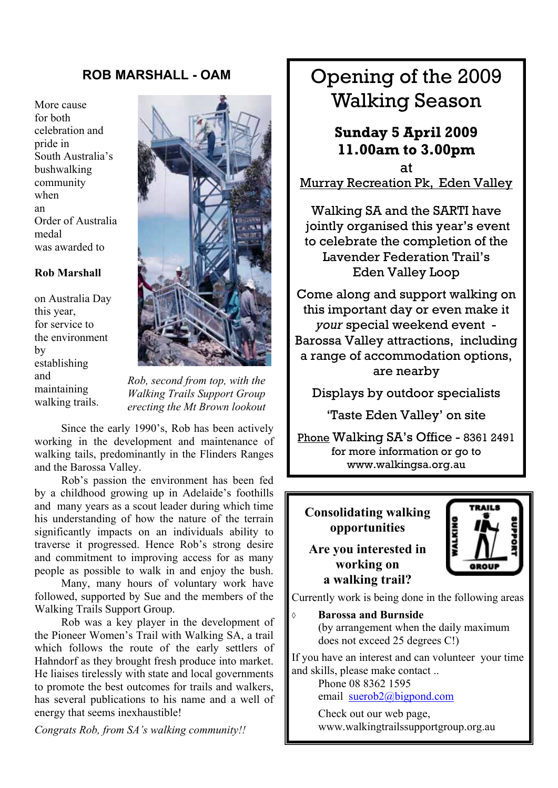#### **ROB MARSHALL - OAM**

More cause for both celebration and pride in South Australia's bushwalking community when an Order of Australia medal was awarded to

#### **Rob Marshall**

on Australia Day this year, for service to the environment by establishing and maintaining walking trails.



*Rob, second from top, with the Walking Trails Support Group erecting the Mt Brown lookout* 

 Since the early 1990's, Rob has been actively working in the development and maintenance of walking tails, predominantly in the Flinders Ranges and the Barossa Valley.

 Rob's passion the environment has been fed by a childhood growing up in Adelaide's foothills and many years as a scout leader during which time his understanding of how the nature of the terrain significantly impacts on an individuals ability to traverse it progressed. Hence Rob's strong desire and commitment to improving access for as many people as possible to walk in and enjoy the bush.

 Many, many hours of voluntary work have followed, supported by Sue and the members of the Walking Trails Support Group.

 Rob was a key player in the development of the Pioneer Women's Trail with Walking SA, a trail which follows the route of the early settlers of Hahndorf as they brought fresh produce into market. He liaises tirelessly with state and local governments to promote the best outcomes for trails and walkers, has several publications to his name and a well of energy that seems inexhaustible!

*Congrats Rob, from SA's walking community!!* 

## Opening of the 2009 Walking Season

### **Sunday 5 April 2009 11.00am to 3.00pm**

at Murray Recreation Pk, Eden Valley

Walking SA and the SARTI have jointly organised this year's event to celebrate the completion of the Lavender Federation Trail's Eden Valley Loop

Come along and support walking on this important day or even make it *your* special weekend event - Barossa Valley attractions, including a range of accommodation options, are nearby

Displays by outdoor specialists

'Taste Eden Valley' on site

Phone Walking SA's Office - 8361 2491 for more information or go to www.walkingsa.org.au

**Consolidating walking opportunities** 

#### **Are you interested in working on a walking trail?**



Currently work is being done in the following areas

**Barossa and Burnside** 

 (by arrangement when the daily maximum does not exceed 25 degrees C!)

If you have an interest and can volunteer your time and skills, please make contact ..

 Phone 08 8362 1595 email [suerob2@bigpond.com](mailto:suerob2@bigpond.com)

 Check out our web page, www.walkingtrailssupportgroup.org.au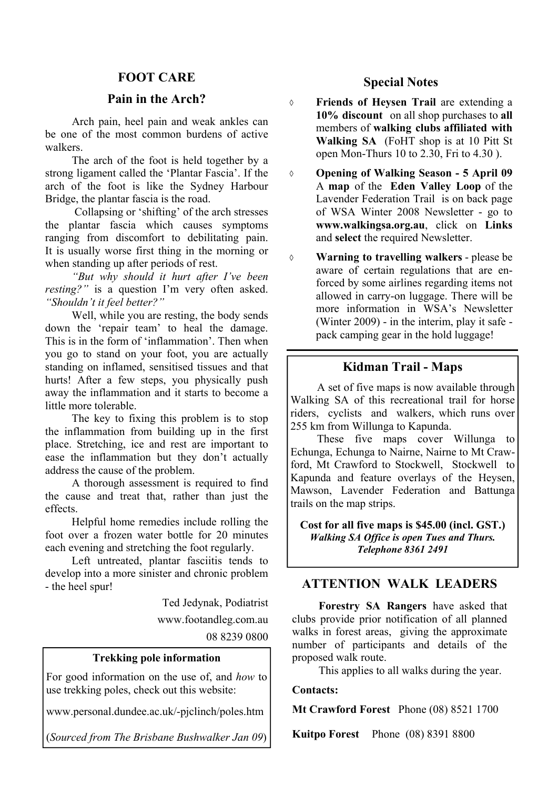#### **FOOT CARE**

#### **Pain in the Arch?**

 Arch pain, heel pain and weak ankles can be one of the most common burdens of active walkers.

 The arch of the foot is held together by a strong ligament called the 'Plantar Fascia'. If the arch of the foot is like the Sydney Harbour Bridge, the plantar fascia is the road.

 Collapsing or 'shifting' of the arch stresses the plantar fascia which causes symptoms ranging from discomfort to debilitating pain. It is usually worse first thing in the morning or when standing up after periods of rest.

*"But why should it hurt after I've been resting?"* is a question I'm very often asked. *"Shouldn't it feel better?"* 

 Well, while you are resting, the body sends down the 'repair team' to heal the damage. This is in the form of 'inflammation'. Then when you go to stand on your foot, you are actually standing on inflamed, sensitised tissues and that hurts! After a few steps, you physically push away the inflammation and it starts to become a little more tolerable.

 The key to fixing this problem is to stop the inflammation from building up in the first place. Stretching, ice and rest are important to ease the inflammation but they don't actually address the cause of the problem.

 A thorough assessment is required to find the cause and treat that, rather than just the effects.

 Helpful home remedies include rolling the foot over a frozen water bottle for 20 minutes each evening and stretching the foot regularly.

 Left untreated, plantar fasciitis tends to develop into a more sinister and chronic problem - the heel spur!

Ted Jedynak, Podiatrist

www.footandleg.com.au

08 8239 0800

#### **Trekking pole information**

For good information on the use of, and *how* to use trekking poles, check out this website:

www.personal.dundee.ac.uk/-pjclinch/poles.htm

(*Sourced from The Brisbane Bushwalker Jan 09*)

#### **Special Notes**

 **Friends of Heysen Trail** are extending a **10% discount** on all shop purchases to **all**  members of **walking clubs affiliated with Walking SA** (FoHT shop is at 10 Pitt St open Mon-Thurs 10 to 2.30, Fri to 4.30 ).

 **Opening of Walking Season - 5 April 09**  A **map** of the **Eden Valley Loop** of the Lavender Federation Trail is on back page of WSA Winter 2008 Newsletter - go to **www.walkingsa.org.au**, click on **Links** and **select** the required Newsletter.

 **Warning to travelling walkers** - please be aware of certain regulations that are enforced by some airlines regarding items not allowed in carry-on luggage. There will be more information in WSA's Newsletter (Winter 2009) - in the interim, play it safe pack camping gear in the hold luggage!

#### **Kidman Trail - Maps**

 A set of five maps is now available through Walking SA of this recreational trail for horse riders, cyclists and walkers, which runs over 255 km from Willunga to Kapunda.

 These five maps cover Willunga to Echunga, Echunga to Nairne, Nairne to Mt Crawford, Mt Crawford to Stockwell, Stockwell to Kapunda and feature overlays of the Heysen, Mawson, Lavender Federation and Battunga trails on the map strips.

**Cost for all five maps is \$45.00 (incl. GST.)**  *Walking SA Office is open Tues and Thurs. Telephone 8361 2491* 

#### **ATTENTION WALK LEADERS**

**Forestry SA Rangers** have asked that clubs provide prior notification of all planned walks in forest areas, giving the approximate number of participants and details of the proposed walk route.

This applies to all walks during the year.

#### **Contacts:**

**Mt Crawford Forest** Phone (08) 8521 1700

**Kuitpo Forest** Phone (08) 8391 8800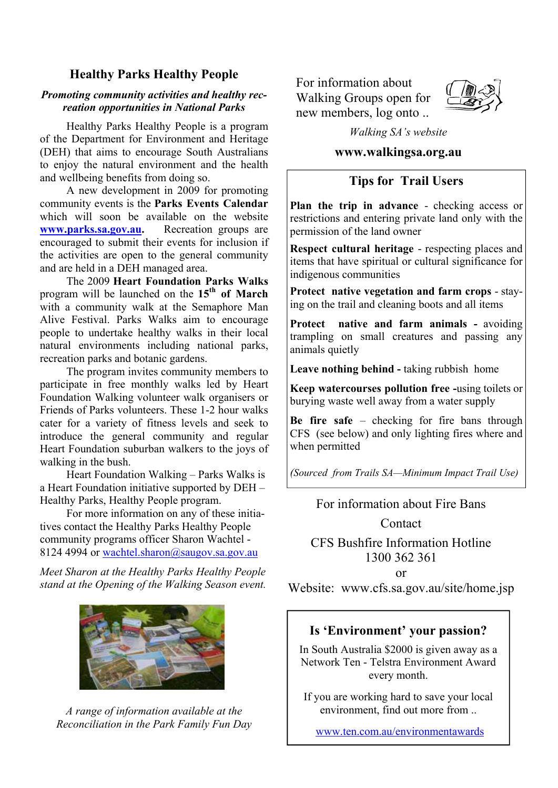#### **Healthy Parks Healthy People**

#### *Promoting community activities and healthy recreation opportunities in National Parks*

 Healthy Parks Healthy People is a program of the Department for Environment and Heritage (DEH) that aims to encourage South Australians to enjoy the natural environment and the health and wellbeing benefits from doing so.

 A new development in 2009 for promoting community events is the **Parks Events Calendar** [which will soon be available on the website](http://www.parks.sa.gov.au/) **www.parks.sa.gov.au.** Recreation groups are encouraged to submit their events for inclusion if the activities are open to the general community and are held in a DEH managed area.

 The 2009 **Heart Foundation Parks Walks** program will be launched on the **15th of March**  with a community walk at the Semaphore Man Alive Festival. Parks Walks aim to encourage people to undertake healthy walks in their local natural environments including national parks, recreation parks and botanic gardens.

 The program invites community members to participate in free monthly walks led by Heart Foundation Walking volunteer walk organisers or Friends of Parks volunteers. These 1-2 hour walks cater for a variety of fitness levels and seek to introduce the general community and regular Heart Foundation suburban walkers to the joys of walking in the bush.

 Heart Foundation Walking – Parks Walks is a Heart Foundation initiative supported by DEH – Healthy Parks, Healthy People program.

 For more information on any of these initiatives contact the Healthy Parks Healthy People community programs officer Sharon Wachtel - 8124 4994 or [wachtel.sharon@saugov.sa.gov.au](mailto:wachtel.sharon@saugov.sa.gov.au)

*Meet Sharon at the Healthy Parks Healthy People stand at the Opening of the Walking Season event.* 



*A range of information available at the Reconciliation in the Park Family Fun Day* 

 For information about Walking Groups open for new members, log onto ..



*Walking SA's website* 

#### **www.walkingsa.org.au**

#### **Tips for Trail Users**

**Plan the trip in advance** - checking access or restrictions and entering private land only with the permission of the land owner

**Respect cultural heritage** - respecting places and items that have spiritual or cultural significance for indigenous communities

**Protect native vegetation and farm crops** - staying on the trail and cleaning boots and all items

**Protect native and farm animals -** avoiding trampling on small creatures and passing any animals quietly

**Leave nothing behind -** taking rubbish home

**Keep watercourses pollution free -**using toilets or burying waste well away from a water supply

**Be fire safe** – checking for fire bans through CFS (see below) and only lighting fires where and when permitted

*(Sourced from Trails SA—Minimum Impact Trail Use)*

#### For information about Fire Bans

Contact

CFS Bushfire Information Hotline 1300 362 361

or

Website: www.cfs.sa.gov.au/site/home.jsp

#### **Is 'Environment' your passion?**

In South Australia \$2000 is given away as a Network Ten - Telstra Environment Award every month.

If you are working hard to save your local environment, find out more from ..

[www.ten.com.au/environmentawards](http://www.ten.com.au/environmentawards)